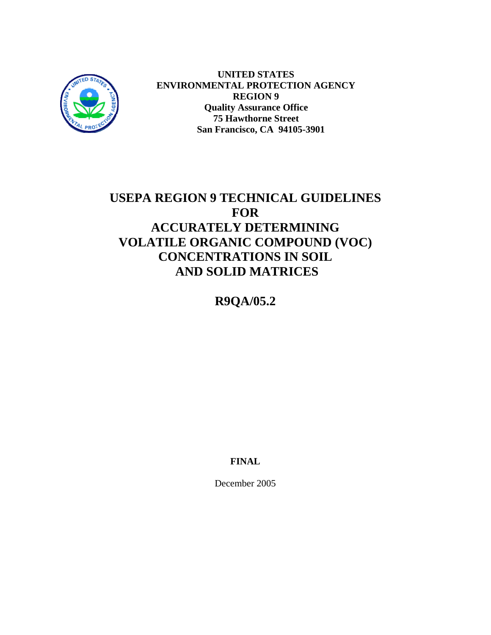

**UNITED STATES ENVIRONMENTAL PROTECTION AGENCY REGION 9 Quality Assurance Office 75 Hawthorne Street San Francisco, CA 94105-3901**

# **USEPA REGION 9 TECHNICAL GUIDELINES FOR ACCURATELY DETERMINING VOLATILE ORGANIC COMPOUND (VOC) CONCENTRATIONS IN SOIL AND SOLID MATRICES**

**R9QA/05.2** 

**FINAL** 

December 2005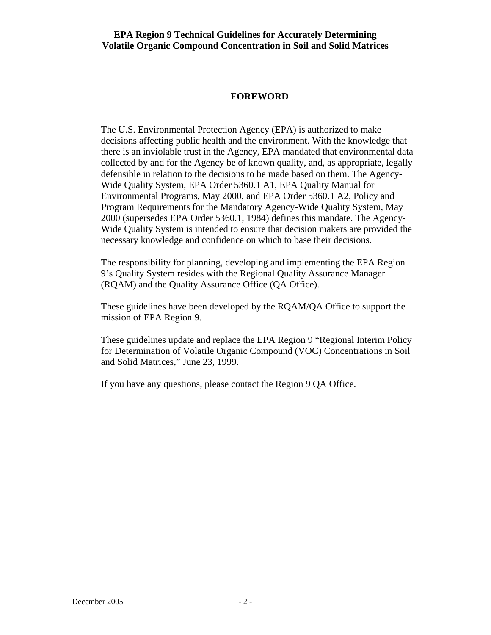### **FOREWORD**

The U.S. Environmental Protection Agency (EPA) is authorized to make decisions affecting public health and the environment. With the knowledge that there is an inviolable trust in the Agency, EPA mandated that environmental data collected by and for the Agency be of known quality, and, as appropriate, legally defensible in relation to the decisions to be made based on them. The Agency-Wide Quality System, EPA Order 5360.1 A1, EPA Quality Manual for Environmental Programs, May 2000, and EPA Order 5360.1 A2, Policy and Program Requirements for the Mandatory Agency-Wide Quality System, May 2000 (supersedes EPA Order 5360.1, 1984) defines this mandate. The Agency-Wide Quality System is intended to ensure that decision makers are provided the necessary knowledge and confidence on which to base their decisions.

The responsibility for planning, developing and implementing the EPA Region 9's Quality System resides with the Regional Quality Assurance Manager (RQAM) and the Quality Assurance Office (QA Office).

These guidelines have been developed by the RQAM/QA Office to support the mission of EPA Region 9.

These guidelines update and replace the EPA Region 9 "Regional Interim Policy for Determination of Volatile Organic Compound (VOC) Concentrations in Soil and Solid Matrices," June 23, 1999.

If you have any questions, please contact the Region 9 QA Office.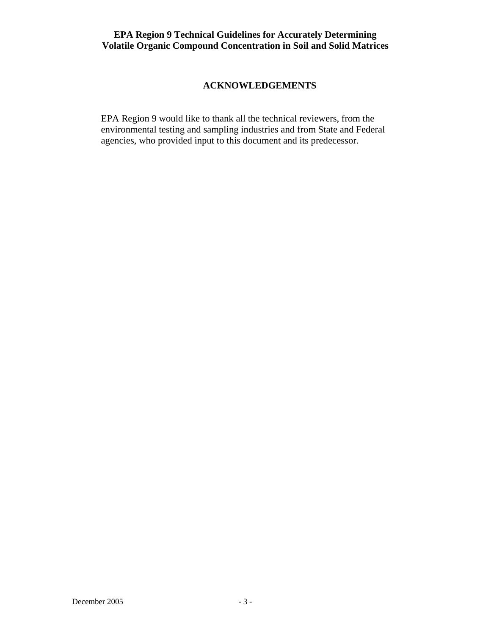# **ACKNOWLEDGEMENTS**

EPA Region 9 would like to thank all the technical reviewers, from the environmental testing and sampling industries and from State and Federal agencies, who provided input to this document and its predecessor.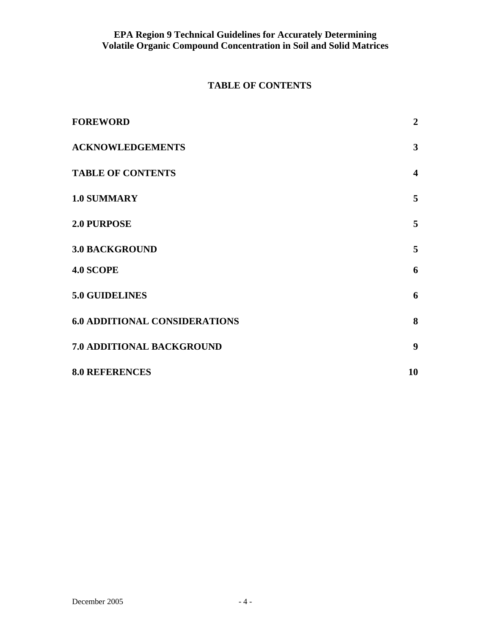# **TABLE OF CONTENTS**

| <b>FOREWORD</b>                      | $\overline{2}$          |
|--------------------------------------|-------------------------|
| <b>ACKNOWLEDGEMENTS</b>              | $\mathbf{3}$            |
| <b>TABLE OF CONTENTS</b>             | $\overline{\mathbf{4}}$ |
| 1.0 SUMMARY                          | 5                       |
| <b>2.0 PURPOSE</b>                   | 5                       |
| <b>3.0 BACKGROUND</b>                | 5 <sup>5</sup>          |
| <b>4.0 SCOPE</b>                     | 6                       |
| <b>5.0 GUIDELINES</b>                | 6                       |
| <b>6.0 ADDITIONAL CONSIDERATIONS</b> | 8                       |
| 7.0 ADDITIONAL BACKGROUND            | 9                       |
| <b>8.0 REFERENCES</b>                | 10                      |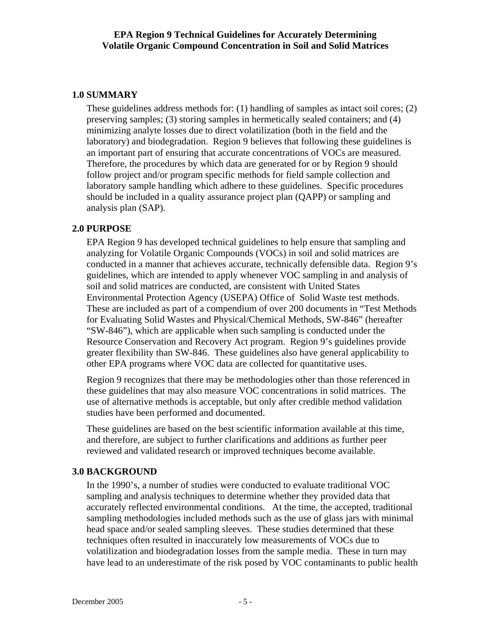# **1.0 SUMMARY**

These guidelines address methods for: (1) handling of samples as intact soil cores; (2) preserving samples; (3) storing samples in hermetically sealed containers; and (4) minimizing analyte losses due to direct volatilization (both in the field and the laboratory) and biodegradation. Region 9 believes that following these guidelines is an important part of ensuring that accurate concentrations of VOCs are measured. Therefore, the procedures by which data are generated for or by Region 9 should follow project and/or program specific methods for field sample collection and laboratory sample handling which adhere to these guidelines. Specific procedures should be included in a quality assurance project plan (QAPP) or sampling and analysis plan (SAP).

# **2.0 PURPOSE**

EPA Region 9 has developed technical guidelines to help ensure that sampling and analyzing for Volatile Organic Compounds (VOCs) in soil and solid matrices are conducted in a manner that achieves accurate, technically defensible data. Region 9's guidelines, which are intended to apply whenever VOC sampling in and analysis of soil and solid matrices are conducted, are consistent with United States Environmental Protection Agency (USEPA) Office of Solid Waste test methods. These are included as part of a compendium of over 200 documents in "Test Methods for Evaluating Solid Wastes and Physical/Chemical Methods, SW-846" (hereafter "SW-846"), which are applicable when such sampling is conducted under the Resource Conservation and Recovery Act program. Region 9's guidelines provide greater flexibility than SW-846. These guidelines also have general applicability to other EPA programs where VOC data are collected for quantitative uses.

Region 9 recognizes that there may be methodologies other than those referenced in these guidelines that may also measure VOC concentrations in solid matrices. The use of alternative methods is acceptable, but only after credible method validation studies have been performed and documented.

These guidelines are based on the best scientific information available at this time, and therefore, are subject to further clarifications and additions as further peer reviewed and validated research or improved techniques become available.

# **3.0 BACKGROUND**

In the 1990's, a number of studies were conducted to evaluate traditional VOC sampling and analysis techniques to determine whether they provided data that accurately reflected environmental conditions. At the time, the accepted, traditional sampling methodologies included methods such as the use of glass jars with minimal head space and/or sealed sampling sleeves. These studies determined that these techniques often resulted in inaccurately low measurements of VOCs due to volatilization and biodegradation losses from the sample media. These in turn may have lead to an underestimate of the risk posed by VOC contaminants to public health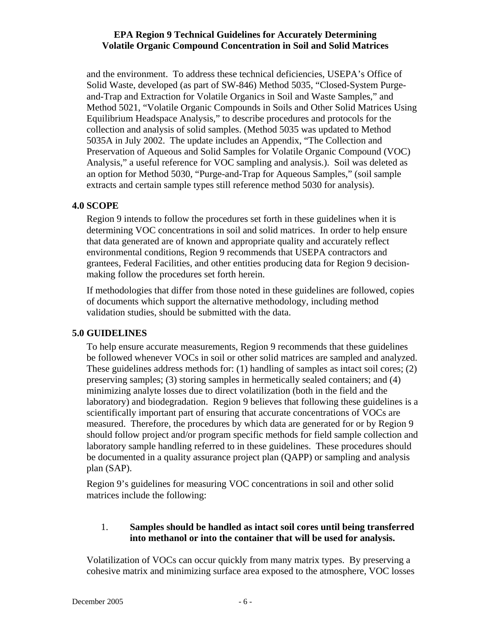and the environment. To address these technical deficiencies, USEPA's Office of Solid Waste, developed (as part of SW-846) Method 5035, "Closed-System Purgeand-Trap and Extraction for Volatile Organics in Soil and Waste Samples," and Method 5021, "Volatile Organic Compounds in Soils and Other Solid Matrices Using Equilibrium Headspace Analysis," to describe procedures and protocols for the collection and analysis of solid samples. (Method 5035 was updated to Method 5035A in July 2002. The update includes an Appendix, "The Collection and Preservation of Aqueous and Solid Samples for Volatile Organic Compound (VOC) Analysis," a useful reference for VOC sampling and analysis.). Soil was deleted as an option for Method 5030, "Purge-and-Trap for Aqueous Samples," (soil sample extracts and certain sample types still reference method 5030 for analysis).

# **4.0 SCOPE**

Region 9 intends to follow the procedures set forth in these guidelines when it is determining VOC concentrations in soil and solid matrices. In order to help ensure that data generated are of known and appropriate quality and accurately reflect environmental conditions, Region 9 recommends that USEPA contractors and grantees, Federal Facilities, and other entities producing data for Region 9 decisionmaking follow the procedures set forth herein.

If methodologies that differ from those noted in these guidelines are followed, copies of documents which support the alternative methodology, including method validation studies, should be submitted with the data.

# **5.0 GUIDELINES**

To help ensure accurate measurements, Region 9 recommends that these guidelines be followed whenever VOCs in soil or other solid matrices are sampled and analyzed. These guidelines address methods for: (1) handling of samples as intact soil cores; (2) preserving samples; (3) storing samples in hermetically sealed containers; and (4) minimizing analyte losses due to direct volatilization (both in the field and the laboratory) and biodegradation. Region 9 believes that following these guidelines is a scientifically important part of ensuring that accurate concentrations of VOCs are measured. Therefore, the procedures by which data are generated for or by Region 9 should follow project and/or program specific methods for field sample collection and laboratory sample handling referred to in these guidelines. These procedures should be documented in a quality assurance project plan (QAPP) or sampling and analysis plan (SAP).

Region 9's guidelines for measuring VOC concentrations in soil and other solid matrices include the following:

#### 1. **Samples should be handled as intact soil cores until being transferred into methanol or into the container that will be used for analysis.**

Volatilization of VOCs can occur quickly from many matrix types. By preserving a cohesive matrix and minimizing surface area exposed to the atmosphere, VOC losses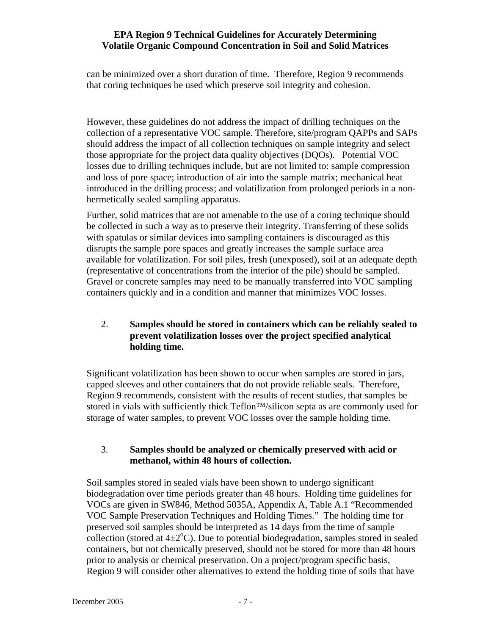can be minimized over a short duration of time. Therefore, Region 9 recommends that coring techniques be used which preserve soil integrity and cohesion.

However, these guidelines do not address the impact of drilling techniques on the collection of a representative VOC sample. Therefore, site/program QAPPs and SAPs should address the impact of all collection techniques on sample integrity and select those appropriate for the project data quality objectives (DQOs). Potential VOC losses due to drilling techniques include, but are not limited to: sample compression and loss of pore space; introduction of air into the sample matrix; mechanical heat introduced in the drilling process; and volatilization from prolonged periods in a nonhermetically sealed sampling apparatus.

Further, solid matrices that are not amenable to the use of a coring technique should be collected in such a way as to preserve their integrity. Transferring of these solids with spatulas or similar devices into sampling containers is discouraged as this disrupts the sample pore spaces and greatly increases the sample surface area available for volatilization. For soil piles, fresh (unexposed), soil at an adequate depth (representative of concentrations from the interior of the pile) should be sampled. Gravel or concrete samples may need to be manually transferred into VOC sampling containers quickly and in a condition and manner that minimizes VOC losses.

# 2. **Samples should be stored in containers which can be reliably sealed to prevent volatilization losses over the project specified analytical holding time.**

Significant volatilization has been shown to occur when samples are stored in jars, capped sleeves and other containers that do not provide reliable seals. Therefore, Region 9 recommends, consistent with the results of recent studies, that samples be stored in vials with sufficiently thick Teflon™/silicon septa as are commonly used for storage of water samples, to prevent VOC losses over the sample holding time.

# 3. **Samples should be analyzed or chemically preserved with acid or methanol, within 48 hours of collection.**

Soil samples stored in sealed vials have been shown to undergo significant biodegradation over time periods greater than 48 hours. Holding time guidelines for VOCs are given in SW846, Method 5035A, Appendix A, Table A.1 "Recommended VOC Sample Preservation Techniques and Holding Times." The holding time for preserved soil samples should be interpreted as 14 days from the time of sample collection (stored at  $4\pm2^{\circ}$ C). Due to potential biodegradation, samples stored in sealed containers, but not chemically preserved, should not be stored for more than 48 hours prior to analysis or chemical preservation. On a project/program specific basis, Region 9 will consider other alternatives to extend the holding time of soils that have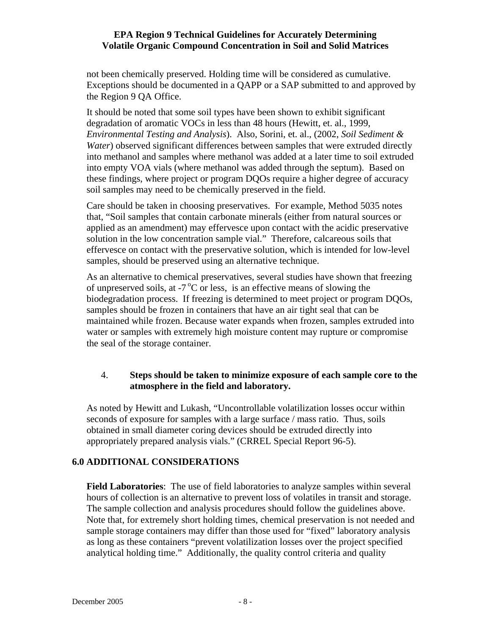not been chemically preserved. Holding time will be considered as cumulative. Exceptions should be documented in a QAPP or a SAP submitted to and approved by the Region 9 QA Office.

It should be noted that some soil types have been shown to exhibit significant degradation of aromatic VOCs in less than 48 hours (Hewitt, et. al., 1999, *Environmental Testing and Analysis*). Also, Sorini, et. al., (2002, *Soil Sediment & Water*) observed significant differences between samples that were extruded directly into methanol and samples where methanol was added at a later time to soil extruded into empty VOA vials (where methanol was added through the septum). Based on these findings, where project or program DQOs require a higher degree of accuracy soil samples may need to be chemically preserved in the field.

Care should be taken in choosing preservatives. For example, Method 5035 notes that, "Soil samples that contain carbonate minerals (either from natural sources or applied as an amendment) may effervesce upon contact with the acidic preservative solution in the low concentration sample vial." Therefore, calcareous soils that effervesce on contact with the preservative solution, which is intended for low-level samples, should be preserved using an alternative technique.

As an alternative to chemical preservatives, several studies have shown that freezing of unpreserved soils, at  $-7^{\circ}$ C or less, is an effective means of slowing the biodegradation process. If freezing is determined to meet project or program DQOs, samples should be frozen in containers that have an air tight seal that can be maintained while frozen. Because water expands when frozen, samples extruded into water or samples with extremely high moisture content may rupture or compromise the seal of the storage container.

# 4. **Steps should be taken to minimize exposure of each sample core to the atmosphere in the field and laboratory.**

As noted by Hewitt and Lukash, "Uncontrollable volatilization losses occur within seconds of exposure for samples with a large surface / mass ratio. Thus, soils obtained in small diameter coring devices should be extruded directly into appropriately prepared analysis vials." (CRREL Special Report 96-5).

# **6.0 ADDITIONAL CONSIDERATIONS**

**Field Laboratories**: The use of field laboratories to analyze samples within several hours of collection is an alternative to prevent loss of volatiles in transit and storage. The sample collection and analysis procedures should follow the guidelines above. Note that, for extremely short holding times, chemical preservation is not needed and sample storage containers may differ than those used for "fixed" laboratory analysis as long as these containers "prevent volatilization losses over the project specified analytical holding time." Additionally, the quality control criteria and quality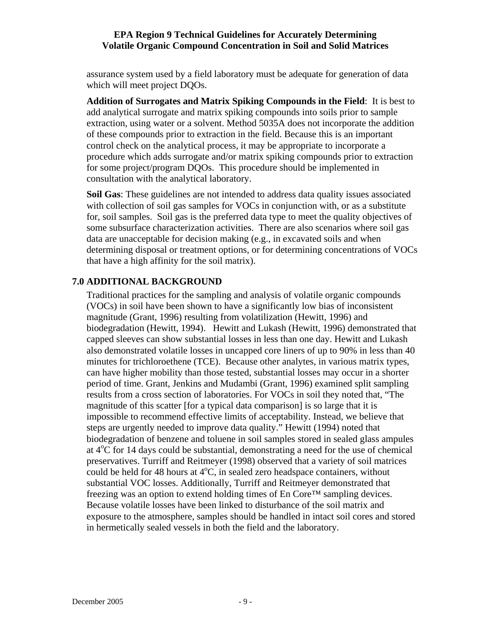assurance system used by a field laboratory must be adequate for generation of data which will meet project DQOs.

**Addition of Surrogates and Matrix Spiking Compounds in the Field**: It is best to add analytical surrogate and matrix spiking compounds into soils prior to sample extraction, using water or a solvent. Method 5035A does not incorporate the addition of these compounds prior to extraction in the field. Because this is an important control check on the analytical process, it may be appropriate to incorporate a procedure which adds surrogate and/or matrix spiking compounds prior to extraction for some project/program DQOs. This procedure should be implemented in consultation with the analytical laboratory.

**Soil Gas**: These guidelines are not intended to address data quality issues associated with collection of soil gas samples for VOCs in conjunction with, or as a substitute for, soil samples. Soil gas is the preferred data type to meet the quality objectives of some subsurface characterization activities. There are also scenarios where soil gas data are unacceptable for decision making (e.g., in excavated soils and when determining disposal or treatment options, or for determining concentrations of VOCs that have a high affinity for the soil matrix).

# **7.0 ADDITIONAL BACKGROUND**

Traditional practices for the sampling and analysis of volatile organic compounds (VOCs) in soil have been shown to have a significantly low bias of inconsistent magnitude (Grant, 1996) resulting from volatilization (Hewitt, 1996) and biodegradation (Hewitt, 1994). Hewitt and Lukash (Hewitt, 1996) demonstrated that capped sleeves can show substantial losses in less than one day. Hewitt and Lukash also demonstrated volatile losses in uncapped core liners of up to 90% in less than 40 minutes for trichloroethene (TCE). Because other analytes, in various matrix types, can have higher mobility than those tested, substantial losses may occur in a shorter period of time. Grant, Jenkins and Mudambi (Grant, 1996) examined split sampling results from a cross section of laboratories. For VOCs in soil they noted that, "The magnitude of this scatter [for a typical data comparison] is so large that it is impossible to recommend effective limits of acceptability. Instead, we believe that steps are urgently needed to improve data quality." Hewitt (1994) noted that biodegradation of benzene and toluene in soil samples stored in sealed glass ampules at  $4^{\circ}$ C for 14 days could be substantial, demonstrating a need for the use of chemical preservatives. Turriff and Reitmeyer (1998) observed that a variety of soil matrices could be held for 48 hours at  $4^{\circ}$ C, in sealed zero headspace containers, without substantial VOC losses. Additionally, Turriff and Reitmeyer demonstrated that freezing was an option to extend holding times of En Core™ sampling devices. Because volatile losses have been linked to disturbance of the soil matrix and exposure to the atmosphere, samples should be handled in intact soil cores and stored in hermetically sealed vessels in both the field and the laboratory.